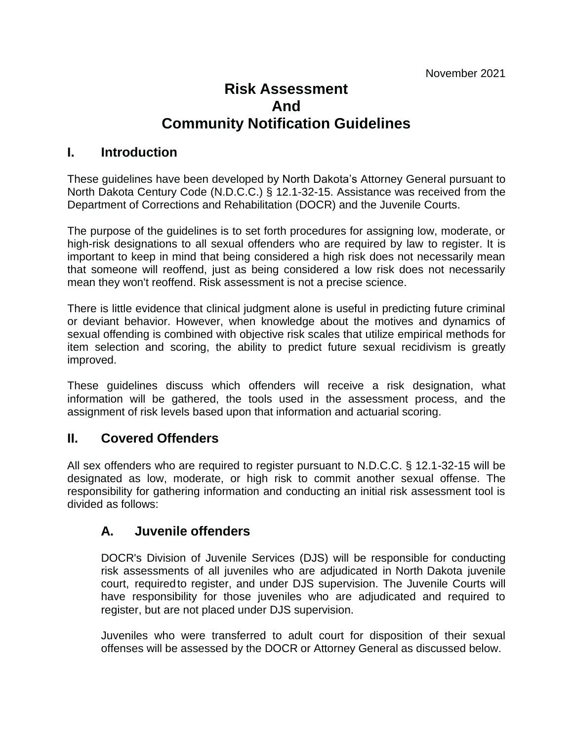# **Risk Assessment And Community Notification Guidelines**

#### **I. Introduction**

These guidelines have been developed by North Dakota's Attorney General pursuant to North Dakota Century Code (N.D.C.C.) § 12.1-32-15. Assistance was received from the Department of Corrections and Rehabilitation (DOCR) and the Juvenile Courts.

The purpose of the guidelines is to set forth procedures for assigning low, moderate, or high-risk designations to all sexual offenders who are required by law to register. It is important to keep in mind that being considered a high risk does not necessarily mean that someone will reoffend, just as being considered a low risk does not necessarily mean they won't reoffend. Risk assessment is not a precise science.

There is little evidence that clinical judgment alone is useful in predicting future criminal or deviant behavior. However, when knowledge about the motives and dynamics of sexual offending is combined with objective risk scales that utilize empirical methods for item selection and scoring, the ability to predict future sexual recidivism is greatly improved.

These guidelines discuss which offenders will receive a risk designation, what information will be gathered, the tools used in the assessment process, and the assignment of risk levels based upon that information and actuarial scoring.

#### **II. Covered Offenders**

All sex offenders who are required to register pursuant to N.D.C.C. § 12.1-32-15 will be designated as low, moderate, or high risk to commit another sexual offense. The responsibility for gathering information and conducting an initial risk assessment tool is divided as follows:

#### **A. Juvenile offenders**

DOCR's Division of Juvenile Services (DJS) will be responsible for conducting risk assessments of all juveniles who are adjudicated in North Dakota juvenile court, requiredto register, and under DJS supervision. The Juvenile Courts will have responsibility for those juveniles who are adjudicated and required to register, but are not placed under DJS supervision.

Juveniles who were transferred to adult court for disposition of their sexual offenses will be assessed by the DOCR or Attorney General as discussed below.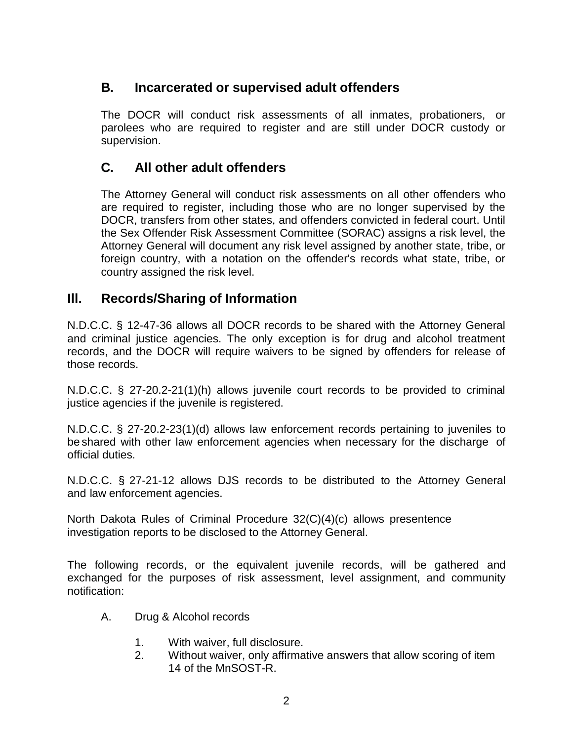## **B. Incarcerated or supervised adult offenders**

The DOCR will conduct risk assessments of all inmates, probationers, or parolees who are required to register and are still under DOCR custody or supervision.

# **C. All other adult offenders**

The Attorney General will conduct risk assessments on all other offenders who are required to register, including those who are no longer supervised by the DOCR, transfers from other states, and offenders convicted in federal court. Until the Sex Offender Risk Assessment Committee (SORAC) assigns a risk level, the Attorney General will document any risk level assigned by another state, tribe, or foreign country, with a notation on the offender's records what state, tribe, or country assigned the risk level.

### **Ill. Records/Sharing of Information**

N.D.C.C. § 12-47-36 allows all DOCR records to be shared with the Attorney General and criminal justice agencies. The only exception is for drug and alcohol treatment records, and the DOCR will require waivers to be signed by offenders for release of those records.

N.D.C.C. § 27-20.2-21(1)(h) allows juvenile court records to be provided to criminal justice agencies if the juvenile is registered.

N.D.C.C. § 27-20.2-23(1)(d) allows law enforcement records pertaining to juveniles to be shared with other law enforcement agencies when necessary for the discharge of official duties.

N.D.C.C. § 27-21-12 allows DJS records to be distributed to the Attorney General and law enforcement agencies.

North Dakota Rules of Criminal Procedure 32(C)(4)(c) allows presentence investigation reports to be disclosed to the Attorney General.

The following records, or the equivalent juvenile records, will be gathered and exchanged for the purposes of risk assessment, level assignment, and community notification:

- A. Drug & Alcohol records
	- 1. With waiver, full disclosure.
	- 2. Without waiver, only affirmative answers that allow scoring of item 14 of the MnSOST-R.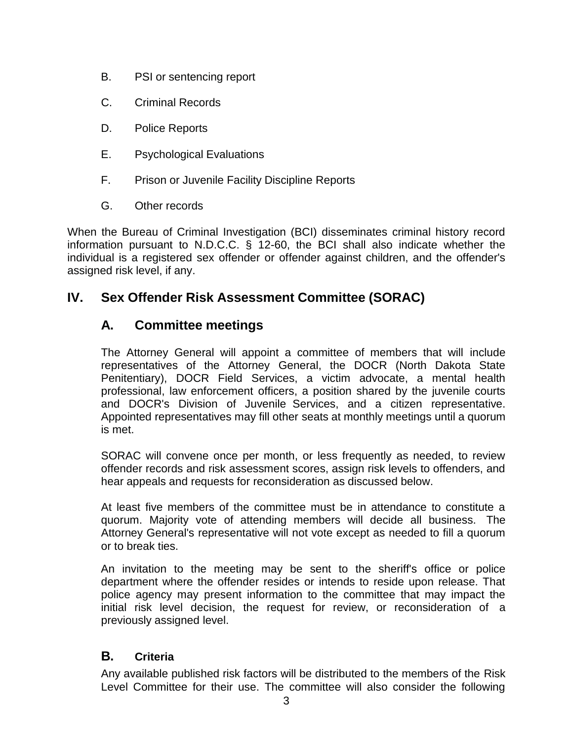- B. PSI or sentencing report
- C. Criminal Records
- D. Police Reports
- E. Psychological Evaluations
- F. Prison or Juvenile Facility Discipline Reports
- G. Other records

When the Bureau of Criminal Investigation (BCI) disseminates criminal history record information pursuant to N.D.C.C. § 12-60, the BCI shall also indicate whether the individual is a registered sex offender or offender against children, and the offender's assigned risk level, if any.

# **IV. Sex Offender Risk Assessment Committee (SORAC)**

### **A. Committee meetings**

The Attorney General will appoint a committee of members that will include representatives of the Attorney General, the DOCR (North Dakota State Penitentiary), DOCR Field Services, a victim advocate, a mental health professional, law enforcement officers, a position shared by the juvenile courts and DOCR's Division of Juvenile Services, and a citizen representative. Appointed representatives may fill other seats at monthly meetings until a quorum is met.

SORAC will convene once per month, or less frequently as needed, to review offender records and risk assessment scores, assign risk levels to offenders, and hear appeals and requests for reconsideration as discussed below.

At least five members of the committee must be in attendance to constitute a quorum. Majority vote of attending members will decide all business. The Attorney General's representative will not vote except as needed to fill a quorum or to break ties.

An invitation to the meeting may be sent to the sheriff's office or police department where the offender resides or intends to reside upon release. That police agency may present information to the committee that may impact the initial risk level decision, the request for review, or reconsideration of a previously assigned level.

#### **B. Criteria**

Any available published risk factors will be distributed to the members of the Risk Level Committee for their use. The committee will also consider the following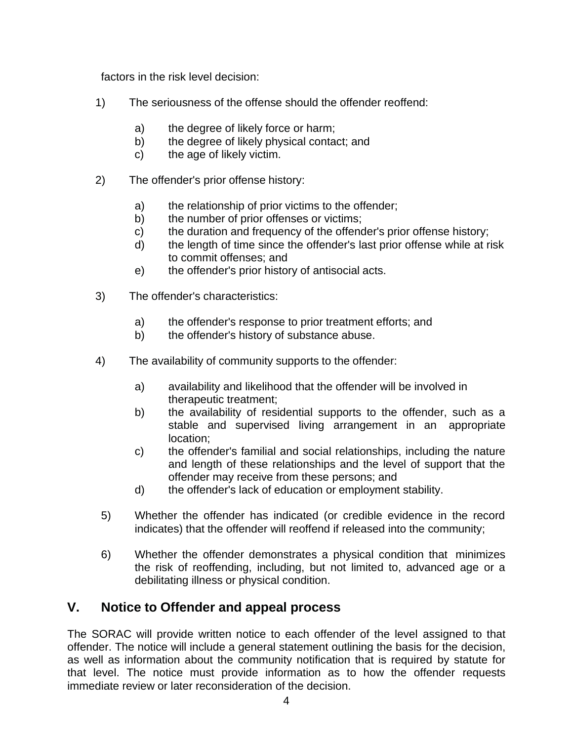factors in the risk level decision:

- 1) The seriousness of the offense should the offender reoffend:
	- a) the degree of likely force or harm;
	- b) the degree of likely physical contact; and
	- c) the age of likely victim.
- 2) The offender's prior offense history:
	- a) the relationship of prior victims to the offender;
	- b) the number of prior offenses or victims;
	- c) the duration and frequency of the offender's prior offense history;
	- d) the length of time since the offender's last prior offense while at risk to commit offenses; and
	- e) the offender's prior history of antisocial acts.
- 3) The offender's characteristics:
	- a) the offender's response to prior treatment efforts; and
	- b) the offender's history of substance abuse.
- 4) The availability of community supports to the offender:
	- a) availability and likelihood that the offender will be involved in therapeutic treatment;
	- b) the availability of residential supports to the offender, such as a stable and supervised living arrangement in an appropriate location;
	- c) the offender's familial and social relationships, including the nature and length of these relationships and the level of support that the offender may receive from these persons; and
	- d) the offender's lack of education or employment stability.
	- 5) Whether the offender has indicated (or credible evidence in the record indicates) that the offender will reoffend if released into the community;
- 6) Whether the offender demonstrates a physical condition that minimizes the risk of reoffending, including, but not limited to, advanced age or a debilitating illness or physical condition.

#### **V. Notice to Offender and appeal process**

The SORAC will provide written notice to each offender of the level assigned to that offender. The notice will include a general statement outlining the basis for the decision, as well as information about the community notification that is required by statute for that level. The notice must provide information as to how the offender requests immediate review or later reconsideration of the decision.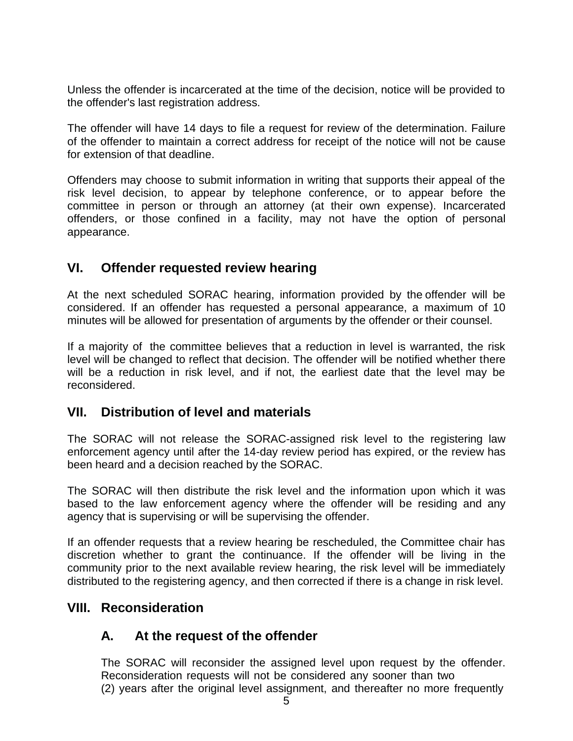Unless the offender is incarcerated at the time of the decision, notice will be provided to the offender's last registration address.

The offender will have 14 days to file a request for review of the determination. Failure of the offender to maintain a correct address for receipt of the notice will not be cause for extension of that deadline.

Offenders may choose to submit information in writing that supports their appeal of the risk level decision, to appear by telephone conference, or to appear before the committee in person or through an attorney (at their own expense). Incarcerated offenders, or those confined in a facility, may not have the option of personal appearance.

### **VI. Offender requested review hearing**

At the next scheduled SORAC hearing, information provided by the offender will be considered. If an offender has requested a personal appearance, a maximum of 10 minutes will be allowed for presentation of arguments by the offender or their counsel.

If a majority of the committee believes that a reduction in level is warranted, the risk level will be changed to reflect that decision. The offender will be notified whether there will be a reduction in risk level, and if not, the earliest date that the level may be reconsidered.

#### **VII. Distribution of level and materials**

The SORAC will not release the SORAC-assigned risk level to the registering law enforcement agency until after the 14-day review period has expired, or the review has been heard and a decision reached by the SORAC.

The SORAC will then distribute the risk level and the information upon which it was based to the law enforcement agency where the offender will be residing and any agency that is supervising or will be supervising the offender.

If an offender requests that a review hearing be rescheduled, the Committee chair has discretion whether to grant the continuance. If the offender will be living in the community prior to the next available review hearing, the risk level will be immediately distributed to the registering agency, and then corrected if there is a change in risk level.

#### **VIII. Reconsideration**

### **A. At the request of the offender**

The SORAC will reconsider the assigned level upon request by the offender. Reconsideration requests will not be considered any sooner than two (2) years after the original level assignment, and thereafter no more frequently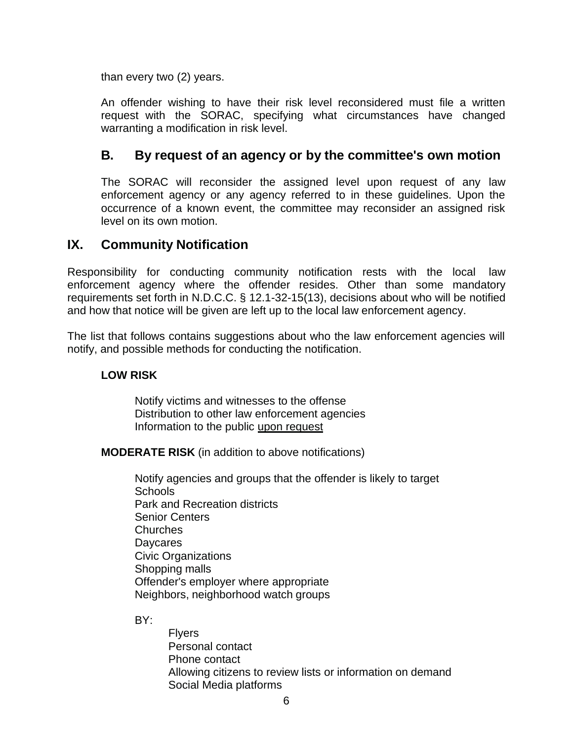than every two (2) years.

An offender wishing to have their risk level reconsidered must file a written request with the SORAC, specifying what circumstances have changed warranting a modification in risk level.

### **B. By request of an agency or by the committee's own motion**

The SORAC will reconsider the assigned level upon request of any law enforcement agency or any agency referred to in these guidelines. Upon the occurrence of a known event, the committee may reconsider an assigned risk level on its own motion.

#### **IX. Community Notification**

Responsibility for conducting community notification rests with the local law enforcement agency where the offender resides. Other than some mandatory requirements set forth in N.D.C.C. § 12.1-32-15(13), decisions about who will be notified and how that notice will be given are left up to the local law enforcement agency.

The list that follows contains suggestions about who the law enforcement agencies will notify, and possible methods for conducting the notification.

#### **LOW RISK**

Notify victims and witnesses to the offense Distribution to other law enforcement agencies Information to the public upon request

**MODERATE RISK** (in addition to above notifications)

Notify agencies and groups that the offender is likely to target Schools Park and Recreation districts Senior Centers **Churches Davcares** Civic Organizations Shopping malls Offender's employer where appropriate Neighbors, neighborhood watch groups

BY:

Flyers Personal contact Phone contact Allowing citizens to review lists or information on demand Social Media platforms